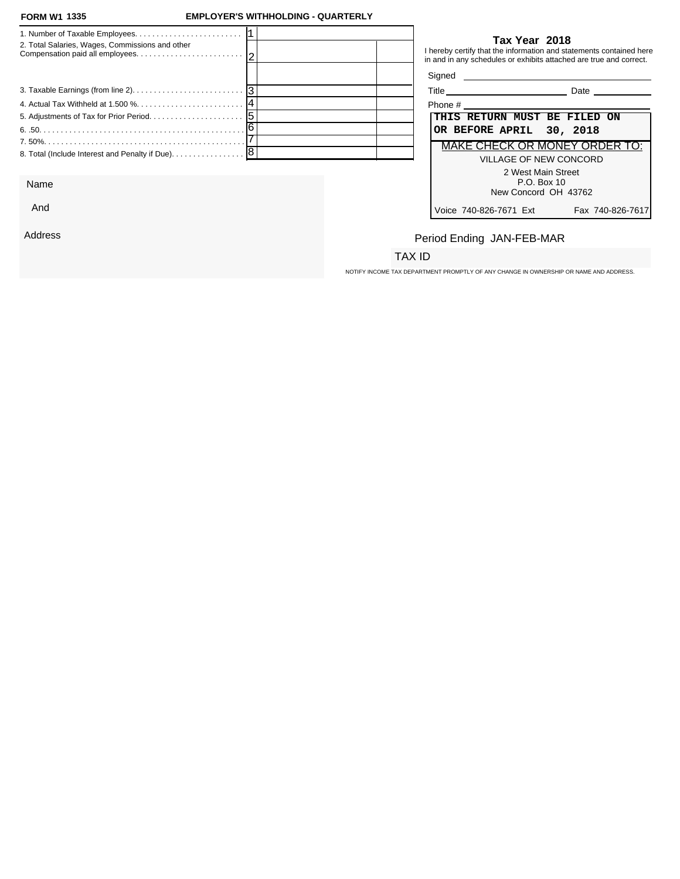#### **FORM W1 1335**

### **FORM W1 EMPLOYER'S WITHHOLDING - QUARTERLY**

| 2. Total Salaries, Wages, Commissions and other |  |                                                                                                                | Tax Year 2018<br>I hereby certify that the information and statements contained here<br>in and in any schedules or exhibits attached are true and correct. |
|-------------------------------------------------|--|----------------------------------------------------------------------------------------------------------------|------------------------------------------------------------------------------------------------------------------------------------------------------------|
|                                                 |  |                                                                                                                | Signed <b>Signed</b>                                                                                                                                       |
|                                                 |  |                                                                                                                | <b>Date Date</b>                                                                                                                                           |
|                                                 |  | Phone # 2008 and 2008 and 2008 and 2008 and 2008 and 2008 and 2008 and 2008 and 2008 and 2008 and 2008 and 200 |                                                                                                                                                            |
|                                                 |  |                                                                                                                | THIS RETURN MUST BE FILED ON                                                                                                                               |
|                                                 |  | OR BEFORE APRIL 30, 2018                                                                                       |                                                                                                                                                            |
|                                                 |  |                                                                                                                | MAKE CHECK OR MONEY ORDER TO:                                                                                                                              |
|                                                 |  |                                                                                                                | VILLAGE OF NEW CONCORD                                                                                                                                     |
|                                                 |  |                                                                                                                | 2 West Main Street                                                                                                                                         |

Name

And

Address

### **Tax Year 2018**

| alti | ate  |
|------|------|
| .    | ---- |

| Phone #                                    |
|--------------------------------------------|
| THIS RETURN MUST BE FILED ON               |
| OR BEFORE APRIL 30, 2018                   |
| MAKE CHECK OR MONEY ORDER TO:              |
| VILLAGE OF NEW CONCORD                     |
| 2 West Main Street                         |
| $P.O.$ Box 10                              |
| New Concord OH 43762                       |
| Voice 740-826-7671 Ext<br>Fax 740-826-7617 |

# Period Ending JAN-FEB-MAR

## TAX ID

NOTIFY INCOME TAX DEPARTMENT PROMPTLY OF ANY CHANGE IN OWNERSHIP OR NAME AND ADDRESS.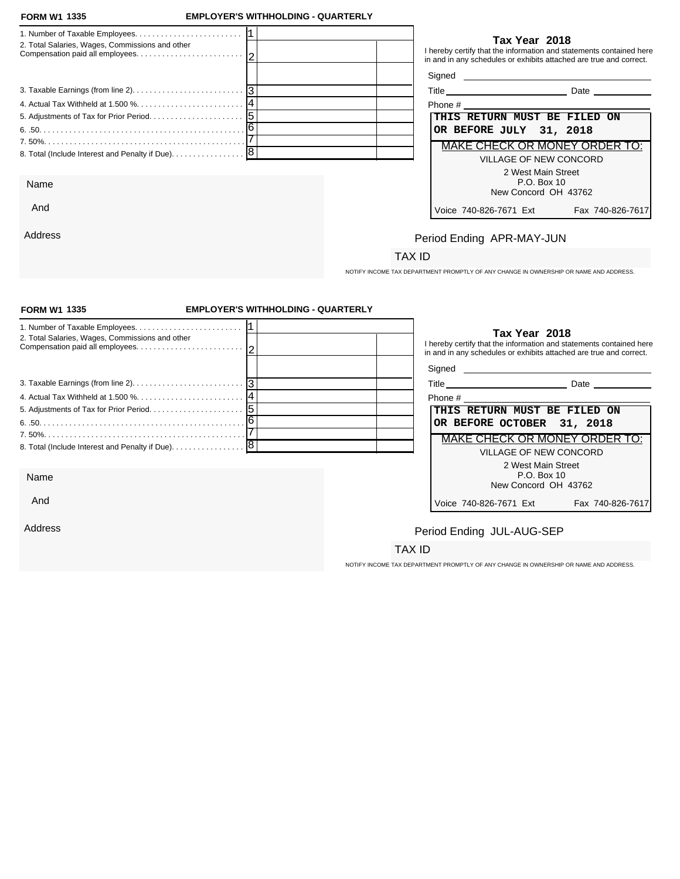#### **FORM W1 1335**

And

Address

### **FORM W1 EMPLOYER'S WITHHOLDING - QUARTERLY**

| 2. Total Salaries, Wages, Commissions and other | Tax Year 2018<br>I hereby certify that the information and statements contained here<br>in and in any schedules or exhibits attached are true and correct. |
|-------------------------------------------------|------------------------------------------------------------------------------------------------------------------------------------------------------------|
|                                                 |                                                                                                                                                            |
|                                                 | <b>Date Date</b>                                                                                                                                           |
|                                                 | Phone #                                                                                                                                                    |
|                                                 | <b>THIS RETURN MUST BE FILED ON</b>                                                                                                                        |
|                                                 | OR BEFORE JULY 31, 2018                                                                                                                                    |
|                                                 | MAKE CHECK OR MONEY ORDER TO:                                                                                                                              |
|                                                 | VILLAGE OF NEW CONCORD                                                                                                                                     |
|                                                 | 2 West Main Street                                                                                                                                         |
| Name                                            | P.O. Box 10                                                                                                                                                |

### **Tax Year 2018**

| Title | Date |  |
|-------|------|--|
|-------|------|--|

| Phone # |                         |                        |                                      |  |
|---------|-------------------------|------------------------|--------------------------------------|--|
|         |                         |                        | THIS RETURN MUST BE FILED ON         |  |
|         | OR BEFORE JULY 31, 2018 |                        |                                      |  |
|         |                         |                        | <b>MAKE CHECK OR MONEY ORDER TO:</b> |  |
|         |                         | VILLAGE OF NEW CONCORD |                                      |  |
|         |                         | 2 West Main Street     |                                      |  |
|         |                         | P.O. Box 10            |                                      |  |
|         |                         | New Concord OH 43762   |                                      |  |
|         | Voice 740-826-7671 Ext  |                        | Fax 740-826-761                      |  |

# Period Ending APR-MAY-JUN

## TAX ID

NOTIFY INCOME TAX DEPARTMENT PROMPTLY OF ANY CHANGE IN OWNERSHIP OR NAME AND ADDRESS.

| <b>FORM W1 1335</b>                             | <b>EMPLOYER'S WITHHOLDING - QUARTERLY</b> |                                                                                                                                                            |  |
|-------------------------------------------------|-------------------------------------------|------------------------------------------------------------------------------------------------------------------------------------------------------------|--|
| 2. Total Salaries, Wages, Commissions and other |                                           | Tax Year 2018<br>I hereby certify that the information and statements contained here<br>in and in any schedules or exhibits attached are true and correct. |  |
|                                                 |                                           | Signed <b>Signed</b>                                                                                                                                       |  |
|                                                 |                                           |                                                                                                                                                            |  |
|                                                 |                                           | THIS RETURN MUST BE FILED ON                                                                                                                               |  |
|                                                 |                                           | OR BEFORE OCTOBER 31, 2018                                                                                                                                 |  |
|                                                 |                                           | <b>MAKE CHECK OR MONEY ORDER TO:</b>                                                                                                                       |  |
| 8. Total (Include Interest and Penalty if Due). | 8                                         | <b>VILLAGE OF NEW CONCORD</b>                                                                                                                              |  |
| Name                                            |                                           | 2 West Main Street<br>P.O. Box 10<br>New Concord OH 43762                                                                                                  |  |
| And                                             |                                           | Fax 740-826-7617<br>Voice 740-826-7671 Ext                                                                                                                 |  |
| Address                                         |                                           | Period Ending JUL-AUG-SEP                                                                                                                                  |  |
|                                                 |                                           | TAX ID                                                                                                                                                     |  |
|                                                 |                                           | NOTIFY INCOME TAX DEPARTMENT PROMPTLY OF ANY CHANGE IN OWNERSHIP OR NAME AND ADDRESS.                                                                      |  |